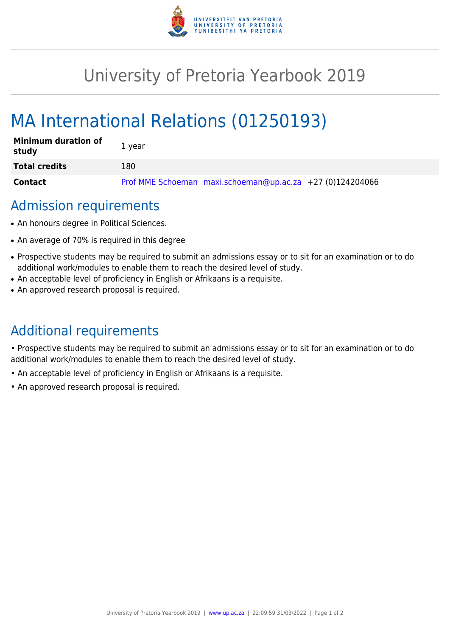

# University of Pretoria Yearbook 2019

# MA International Relations (01250193)

| <b>Minimum duration of</b><br>study | 1 year                                                    |
|-------------------------------------|-----------------------------------------------------------|
| <b>Total credits</b>                | 180                                                       |
| <b>Contact</b>                      | Prof MME Schoeman maxi.schoeman@up.ac.za +27 (0)124204066 |

### Admission requirements

- An honours degree in Political Sciences.
- An average of 70% is required in this degree
- Prospective students may be required to submit an admissions essay or to sit for an examination or to do additional work/modules to enable them to reach the desired level of study.
- An acceptable level of proficiency in English or Afrikaans is a requisite.
- An approved research proposal is required.

## Additional requirements

• Prospective students may be required to submit an admissions essay or to sit for an examination or to do additional work/modules to enable them to reach the desired level of study.

- An acceptable level of proficiency in English or Afrikaans is a requisite.
- An approved research proposal is required.